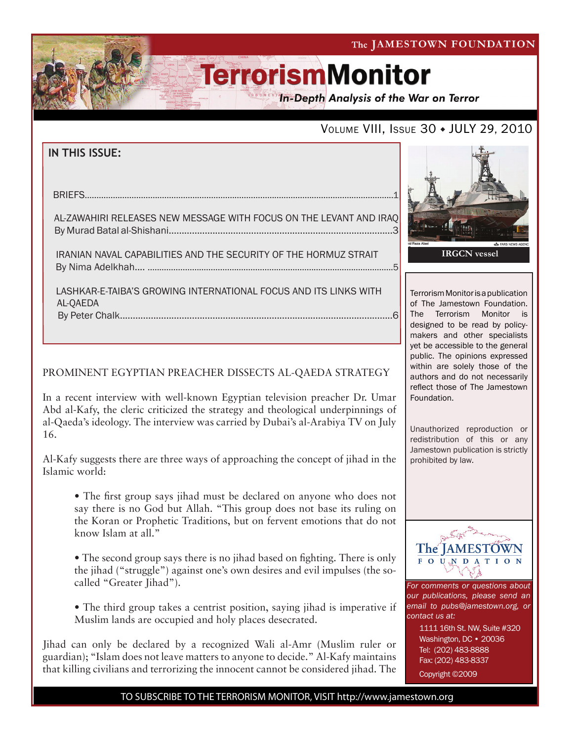The JAMESTOWN FOUNDATION

# **TerrorismMonitor**

In-Depth Analysis of the War on Terror

### VOLUME VIII, ISSUE 30 • JULY 29, 2010

### **IN THIS ISSUE:**

briefs....................................................................................................................................1

 al-zawahiri Releases new message with focus on the levant and iraq By Murad Batal al-Shishani.......................................................................................3

 iranian naval capabilities and the security of the hormuz strait by Nima Adelkhah.... .........................................................................................................5

 lashkar-e-taiba's growing international focus and its links with al-qaeda By Peter Chalk..........................................................................................................6

#### PROMINENT EGYPTIAN PREACHER DISSECTS AL-QAEDA STRATEGY

In a recent interview with well-known Egyptian television preacher Dr. Umar Abd al-Kafy, the cleric criticized the strategy and theological underpinnings of al-Qaeda's ideology. The interview was carried by Dubai's al-Arabiya TV on July 16.

Al-Kafy suggests there are three ways of approaching the concept of jihad in the Islamic world:

• The first group says jihad must be declared on anyone who does not say there is no God but Allah. "This group does not base its ruling on the Koran or Prophetic Traditions, but on fervent emotions that do not know Islam at all."

• The second group says there is no jihad based on fighting. There is only the jihad ("struggle") against one's own desires and evil impulses (the socalled "Greater Jihad").

• The third group takes a centrist position, saying jihad is imperative if Muslim lands are occupied and holy places desecrated.

Jihad can only be declared by a recognized Wali al-Amr (Muslim ruler or guardian); "Islam does not leave matters to anyone to decide." Al-Kafy maintains that killing civilians and terrorizing the innocent cannot be considered jihad. The



Terrorism Monitor is a publication of The Jamestown Foundation. The Terrorism Monitor is designed to be read by policymakers and other specialists yet be accessible to the general public. The opinions expressed within are solely those of the authors and do not necessarily reflect those of The Jamestown Foundation.

Unauthorized reproduction or redistribution of this or any Jamestown publication is strictly prohibited by law.



*For comments or questions about our publications, please send an email to pubs@jamestown.org, or contact us at:* 

> 1111 16th St. NW, Suite #320 Washington, DC • 20036 Tel: (202) 483-8888 Fax: (202) 483-8337 Copyright ©2009

TO SUBSCRIBE TO THE TERRORISM MONITOR, VISIT http://www.jamestown.org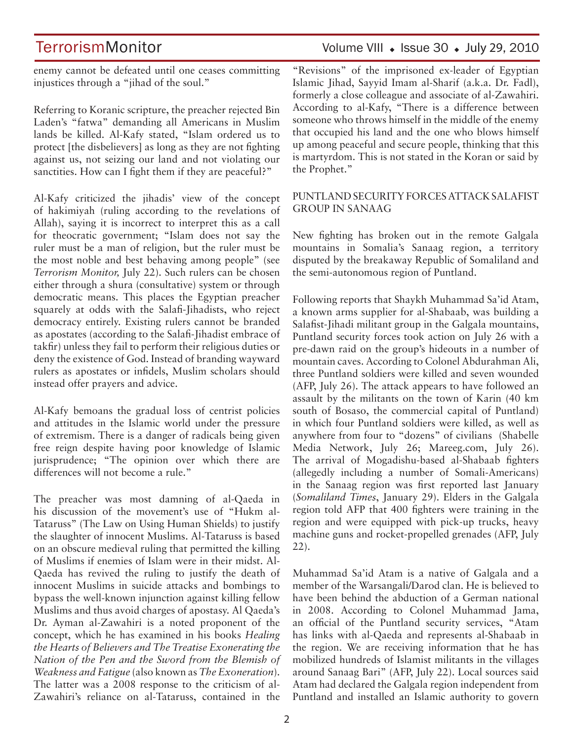# TerrorismMonitor Volume VIII • Issue 30 • July 29, 2010

enemy cannot be defeated until one ceases committing injustices through a "jihad of the soul."

Referring to Koranic scripture, the preacher rejected Bin Laden's "fatwa" demanding all Americans in Muslim lands be killed. Al-Kafy stated, "Islam ordered us to protect [the disbelievers] as long as they are not fighting against us, not seizing our land and not violating our sanctities. How can I fight them if they are peaceful?"

Al-Kafy criticized the jihadis' view of the concept of hakimiyah (ruling according to the revelations of Allah), saying it is incorrect to interpret this as a call for theocratic government; "Islam does not say the ruler must be a man of religion, but the ruler must be the most noble and best behaving among people" (see *Terrorism Monitor,* July 22). Such rulers can be chosen either through a shura (consultative) system or through democratic means. This places the Egyptian preacher squarely at odds with the Salafi-Jihadists, who reject democracy entirely. Existing rulers cannot be branded as apostates (according to the Salafi-Jihadist embrace of takfir) unless they fail to perform their religious duties or deny the existence of God. Instead of branding wayward rulers as apostates or infidels, Muslim scholars should instead offer prayers and advice.

Al-Kafy bemoans the gradual loss of centrist policies and attitudes in the Islamic world under the pressure of extremism. There is a danger of radicals being given free reign despite having poor knowledge of Islamic jurisprudence; "The opinion over which there are differences will not become a rule."

The preacher was most damning of al-Qaeda in his discussion of the movement's use of "Hukm al-Tataruss" (The Law on Using Human Shields) to justify the slaughter of innocent Muslims. Al-Tataruss is based on an obscure medieval ruling that permitted the killing of Muslims if enemies of Islam were in their midst. Al-Qaeda has revived the ruling to justify the death of innocent Muslims in suicide attacks and bombings to bypass the well-known injunction against killing fellow Muslims and thus avoid charges of apostasy. Al Qaeda's Dr. Ayman al-Zawahiri is a noted proponent of the concept, which he has examined in his books *Healing the Hearts of Believers and The Treatise Exonerating the Nation of the Pen and the Sword from the Blemish of Weakness and Fatigue* (also known as *The Exoneration*). The latter was a 2008 response to the criticism of al-Zawahiri's reliance on al-Tataruss, contained in the

"Revisions" of the imprisoned ex-leader of Egyptian Islamic Jihad, Sayyid Imam al-Sharif (a.k.a. Dr. Fadl), formerly a close colleague and associate of al-Zawahiri. According to al-Kafy, "There is a difference between someone who throws himself in the middle of the enemy that occupied his land and the one who blows himself up among peaceful and secure people, thinking that this is martyrdom. This is not stated in the Koran or said by the Prophet."

#### PUNTLAND SECURITY FORCES ATTACK SALAFIST GROUP IN SANAAG

New fighting has broken out in the remote Galgala mountains in Somalia's Sanaag region, a territory disputed by the breakaway Republic of Somaliland and the semi-autonomous region of Puntland.

Following reports that Shaykh Muhammad Sa'id Atam, a known arms supplier for al-Shabaab, was building a Salafist-Jihadi militant group in the Galgala mountains, Puntland security forces took action on July 26 with a pre-dawn raid on the group's hideouts in a number of mountain caves. According to Colonel Abdurahman Ali, three Puntland soldiers were killed and seven wounded (AFP, July 26). The attack appears to have followed an assault by the militants on the town of Karin (40 km south of Bosaso, the commercial capital of Puntland) in which four Puntland soldiers were killed, as well as anywhere from four to "dozens" of civilians (Shabelle Media Network, July 26; Mareeg.com, July 26). The arrival of Mogadishu-based al-Shabaab fighters (allegedly including a number of Somali-Americans) in the Sanaag region was first reported last January (*Somaliland Times*, January 29). Elders in the Galgala region told AFP that 400 fighters were training in the region and were equipped with pick-up trucks, heavy machine guns and rocket-propelled grenades (AFP, July 22).

Muhammad Sa'id Atam is a native of Galgala and a member of the Warsangali/Darod clan. He is believed to have been behind the abduction of a German national in 2008. According to Colonel Muhammad Jama, an official of the Puntland security services, "Atam has links with al-Qaeda and represents al-Shabaab in the region. We are receiving information that he has mobilized hundreds of Islamist militants in the villages around Sanaag Bari" (AFP, July 22). Local sources said Atam had declared the Galgala region independent from Puntland and installed an Islamic authority to govern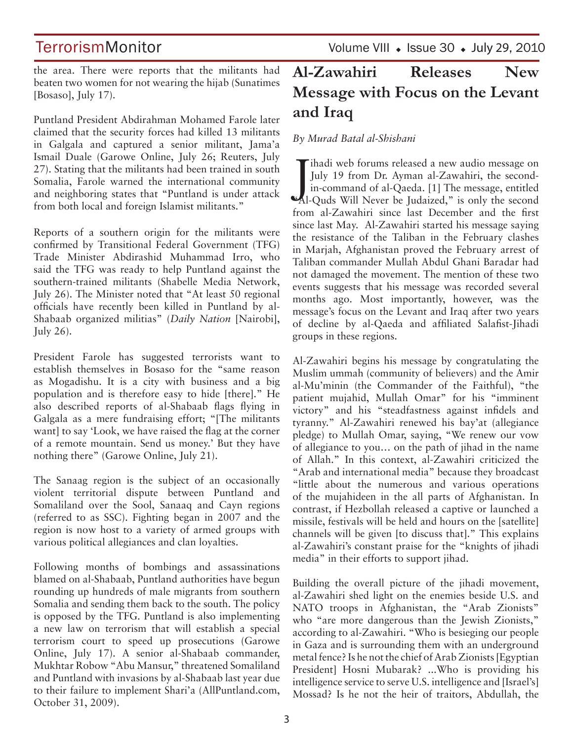Volume VIII • Issue 30 • July 29, 2010

the area. There were reports that the militants had beaten two women for not wearing the hijab (Sunatimes [Bosaso], July 17).

Puntland President Abdirahman Mohamed Farole later claimed that the security forces had killed 13 militants in Galgala and captured a senior militant, Jama'a Ismail Duale (Garowe Online, July 26; Reuters, July 27). Stating that the militants had been trained in south Somalia, Farole warned the international community and neighboring states that "Puntland is under attack from both local and foreign Islamist militants."

Reports of a southern origin for the militants were confirmed by Transitional Federal Government (TFG) Trade Minister Abdirashid Muhammad Irro, who said the TFG was ready to help Puntland against the southern-trained militants (Shabelle Media Network, July 26). The Minister noted that "At least 50 regional officials have recently been killed in Puntland by al-Shabaab organized militias" (*Daily Nation* [Nairobi], July 26).

President Farole has suggested terrorists want to establish themselves in Bosaso for the "same reason as Mogadishu. It is a city with business and a big population and is therefore easy to hide [there]." He also described reports of al-Shabaab flags flying in Galgala as a mere fundraising effort; "[The militants want] to say 'Look, we have raised the flag at the corner of a remote mountain. Send us money.' But they have nothing there" (Garowe Online, July 21).

The Sanaag region is the subject of an occasionally violent territorial dispute between Puntland and Somaliland over the Sool, Sanaaq and Cayn regions (referred to as SSC). Fighting began in 2007 and the region is now host to a variety of armed groups with various political allegiances and clan loyalties.

Following months of bombings and assassinations blamed on al-Shabaab, Puntland authorities have begun rounding up hundreds of male migrants from southern Somalia and sending them back to the south. The policy is opposed by the TFG. Puntland is also implementing a new law on terrorism that will establish a special terrorism court to speed up prosecutions (Garowe Online, July 17). A senior al-Shabaab commander, Mukhtar Robow "Abu Mansur," threatened Somaliland and Puntland with invasions by al-Shabaab last year due to their failure to implement Shari'a (AllPuntland.com, October 31, 2009).

# **Al-Zawahiri Releases New Message with Focus on the Levant and Iraq**

### *By Murad Batal al-Shishani*

July 19 from Dr. Ayman al-Zawahiri, the second-<br>
in-command of al-Qaeda. [1] The message, entitled<br>
Al-Quds Will Never be Judaized," is only the secondihadi web forums released a new audio message on July 19 from Dr. Ayman al-Zawahiri, the secondin-command of al-Qaeda. [1] The message, entitled from al-Zawahiri since last December and the first since last May. Al-Zawahiri started his message saying the resistance of the Taliban in the February clashes in Marjah, Afghanistan proved the February arrest of Taliban commander Mullah Abdul Ghani Baradar had not damaged the movement. The mention of these two events suggests that his message was recorded several months ago. Most importantly, however, was the message's focus on the Levant and Iraq after two years of decline by al-Qaeda and affiliated Salafist-Jihadi groups in these regions.

Al-Zawahiri begins his message by congratulating the Muslim ummah (community of believers) and the Amir al-Mu'minin (the Commander of the Faithful), "the patient mujahid, Mullah Omar" for his "imminent victory" and his "steadfastness against infidels and tyranny." Al-Zawahiri renewed his bay'at (allegiance pledge) to Mullah Omar, saying, "We renew our vow of allegiance to you… on the path of jihad in the name of Allah." In this context, al-Zawahiri criticized the "Arab and international media" because they broadcast "little about the numerous and various operations of the mujahideen in the all parts of Afghanistan. In contrast, if Hezbollah released a captive or launched a missile, festivals will be held and hours on the [satellite] channels will be given [to discuss that]." This explains al-Zawahiri's constant praise for the "knights of jihadi media" in their efforts to support jihad.

Building the overall picture of the jihadi movement, al-Zawahiri shed light on the enemies beside U.S. and NATO troops in Afghanistan, the "Arab Zionists" who "are more dangerous than the Jewish Zionists," according to al-Zawahiri. "Who is besieging our people in Gaza and is surrounding them with an underground metal fence? Is he not the chief of Arab Zionists [Egyptian President] Hosni Mubarak? ...Who is providing his intelligence service to serve U.S. intelligence and [Israel's] Mossad? Is he not the heir of traitors, Abdullah, the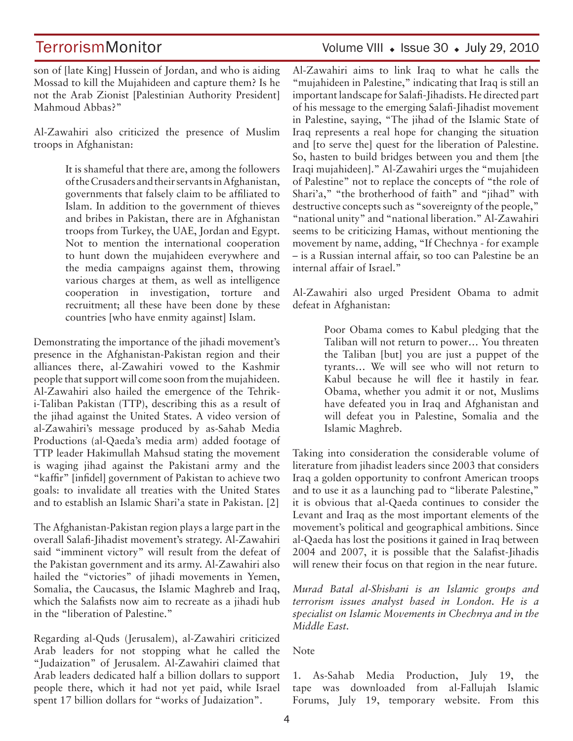# TerrorismMonitor Volume VIII • Issue 30 • July 29, 2010

son of [late King] Hussein of Jordan, and who is aiding Mossad to kill the Mujahideen and capture them? Is he not the Arab Zionist [Palestinian Authority President] Mahmoud Abbas?"

Al-Zawahiri also criticized the presence of Muslim troops in Afghanistan:

> It is shameful that there are, among the followers of the Crusaders and their servants in Afghanistan, governments that falsely claim to be affiliated to Islam. In addition to the government of thieves and bribes in Pakistan, there are in Afghanistan troops from Turkey, the UAE, Jordan and Egypt. Not to mention the international cooperation to hunt down the mujahideen everywhere and the media campaigns against them, throwing various charges at them, as well as intelligence cooperation in investigation, torture and recruitment; all these have been done by these countries [who have enmity against] Islam.

Demonstrating the importance of the jihadi movement's presence in the Afghanistan-Pakistan region and their alliances there, al-Zawahiri vowed to the Kashmir people that support will come soon from the mujahideen. Al-Zawahiri also hailed the emergence of the Tehriki-Taliban Pakistan (TTP), describing this as a result of the jihad against the United States. A video version of al-Zawahiri's message produced by as-Sahab Media Productions (al-Qaeda's media arm) added footage of TTP leader Hakimullah Mahsud stating the movement is waging jihad against the Pakistani army and the "kaffir" [infidel] government of Pakistan to achieve two goals: to invalidate all treaties with the United States and to establish an Islamic Shari'a state in Pakistan. [2]

The Afghanistan-Pakistan region plays a large part in the overall Salafi-Jihadist movement's strategy. Al-Zawahiri said "imminent victory" will result from the defeat of the Pakistan government and its army. Al-Zawahiri also hailed the "victories" of jihadi movements in Yemen, Somalia, the Caucasus, the Islamic Maghreb and Iraq, which the Salafists now aim to recreate as a jihadi hub in the "liberation of Palestine."

Regarding al-Quds (Jerusalem), al-Zawahiri criticized Arab leaders for not stopping what he called the "Judaization" of Jerusalem. Al-Zawahiri claimed that Arab leaders dedicated half a billion dollars to support people there, which it had not yet paid, while Israel spent 17 billion dollars for "works of Judaization".

Al-Zawahiri aims to link Iraq to what he calls the "mujahideen in Palestine," indicating that Iraq is still an important landscape for Salafi-Jihadists. He directed part of his message to the emerging Salafi-Jihadist movement in Palestine, saying, "The jihad of the Islamic State of Iraq represents a real hope for changing the situation and [to serve the] quest for the liberation of Palestine. So, hasten to build bridges between you and them [the Iraqi mujahideen]." Al-Zawahiri urges the "mujahideen of Palestine" not to replace the concepts of "the role of Shari'a," "the brotherhood of faith" and "jihad" with destructive concepts such as "sovereignty of the people," "national unity" and "national liberation." Al-Zawahiri seems to be criticizing Hamas, without mentioning the movement by name, adding, "If Chechnya - for example – is a Russian internal affair, so too can Palestine be an internal affair of Israel."

Al-Zawahiri also urged President Obama to admit defeat in Afghanistan:

> Poor Obama comes to Kabul pledging that the Taliban will not return to power… You threaten the Taliban [but] you are just a puppet of the tyrants… We will see who will not return to Kabul because he will flee it hastily in fear. Obama, whether you admit it or not, Muslims have defeated you in Iraq and Afghanistan and will defeat you in Palestine, Somalia and the Islamic Maghreb.

Taking into consideration the considerable volume of literature from jihadist leaders since 2003 that considers Iraq a golden opportunity to confront American troops and to use it as a launching pad to "liberate Palestine," it is obvious that al-Qaeda continues to consider the Levant and Iraq as the most important elements of the movement's political and geographical ambitions. Since al-Qaeda has lost the positions it gained in Iraq between 2004 and 2007, it is possible that the Salafist-Jihadis will renew their focus on that region in the near future.

*Murad Batal al-Shishani is an Islamic groups and terrorism issues analyst based in London. He is a specialist on Islamic Movements in Chechnya and in the Middle East.*

Note

1. As-Sahab Media Production, July 19, the tape was downloaded from al-Fallujah Islamic Forums, July 19, temporary website. From this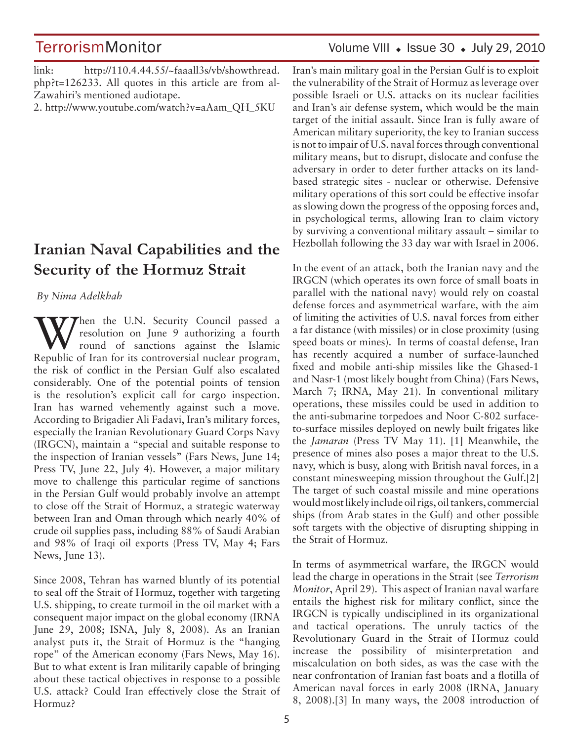link: http://110.4.44.55/~faaall3s/vb/showthread. php?t=126233. All quotes in this article are from al-Zawahiri's mentioned audiotape.

2. http://www.youtube.com/watch?v=aAam\_QH\_5KU

# **Iranian Naval Capabilities and the Security of the Hormuz Strait**

#### *By Nima Adelkhah*

When the U.N. Security Council passed a resolution on June 9 authorizing a fourth round of sanctions against the Islamic resolution on June 9 authorizing a fourth Republic of Iran for its controversial nuclear program, the risk of conflict in the Persian Gulf also escalated considerably. One of the potential points of tension is the resolution's explicit call for cargo inspection. Iran has warned vehemently against such a move. According to Brigadier Ali Fadavi, Iran's military forces, especially the Iranian Revolutionary Guard Corps Navy (IRGCN), maintain a "special and suitable response to the inspection of Iranian vessels" (Fars News, June 14; Press TV, June 22, July 4). However, a major military move to challenge this particular regime of sanctions in the Persian Gulf would probably involve an attempt to close off the Strait of Hormuz, a strategic waterway between Iran and Oman through which nearly 40% of crude oil supplies pass, including 88% of Saudi Arabian and 98% of Iraqi oil exports (Press TV, May 4; Fars News, June 13).

Since 2008, Tehran has warned bluntly of its potential to seal off the Strait of Hormuz, together with targeting U.S. shipping, to create turmoil in the oil market with a consequent major impact on the global economy (IRNA June 29, 2008; ISNA, July 8, 2008). As an Iranian analyst puts it, the Strait of Hormuz is the "hanging rope" of the American economy (Fars News, May 16). But to what extent is Iran militarily capable of bringing about these tactical objectives in response to a possible U.S. attack? Could Iran effectively close the Strait of Hormuz?

# Volume VIII • Issue 30 • July 29, 2010

Iran's main military goal in the Persian Gulf is to exploit the vulnerability of the Strait of Hormuz as leverage over possible Israeli or U.S. attacks on its nuclear facilities and Iran's air defense system, which would be the main target of the initial assault. Since Iran is fully aware of American military superiority, the key to Iranian success is not to impair of U.S. naval forces through conventional military means, but to disrupt, dislocate and confuse the adversary in order to deter further attacks on its landbased strategic sites - nuclear or otherwise. Defensive military operations of this sort could be effective insofar as slowing down the progress of the opposing forces and, in psychological terms, allowing Iran to claim victory by surviving a conventional military assault – similar to Hezbollah following the 33 day war with Israel in 2006.

In the event of an attack, both the Iranian navy and the IRGCN (which operates its own force of small boats in parallel with the national navy) would rely on coastal defense forces and asymmetrical warfare, with the aim of limiting the activities of U.S. naval forces from either a far distance (with missiles) or in close proximity (using speed boats or mines). In terms of coastal defense, Iran has recently acquired a number of surface-launched fixed and mobile anti-ship missiles like the Ghased-1 and Nasr-1 (most likely bought from China) (Fars News, March 7; IRNA, May 21). In conventional military operations, these missiles could be used in addition to the anti-submarine torpedoes and Noor C-802 surfaceto-surface missiles deployed on newly built frigates like the *Jamaran* (Press TV May 11). [1] Meanwhile, the presence of mines also poses a major threat to the U.S. navy, which is busy, along with British naval forces, in a constant minesweeping mission throughout the Gulf.[2] The target of such coastal missile and mine operations would most likely include oil rigs, oil tankers, commercial ships (from Arab states in the Gulf) and other possible soft targets with the objective of disrupting shipping in the Strait of Hormuz.

In terms of asymmetrical warfare, the IRGCN would lead the charge in operations in the Strait (see *Terrorism Monitor*, April 29). This aspect of Iranian naval warfare entails the highest risk for military conflict, since the IRGCN is typically undisciplined in its organizational and tactical operations. The unruly tactics of the Revolutionary Guard in the Strait of Hormuz could increase the possibility of misinterpretation and miscalculation on both sides, as was the case with the near confrontation of Iranian fast boats and a flotilla of American naval forces in early 2008 (IRNA, January 8, 2008).[3] In many ways, the 2008 introduction of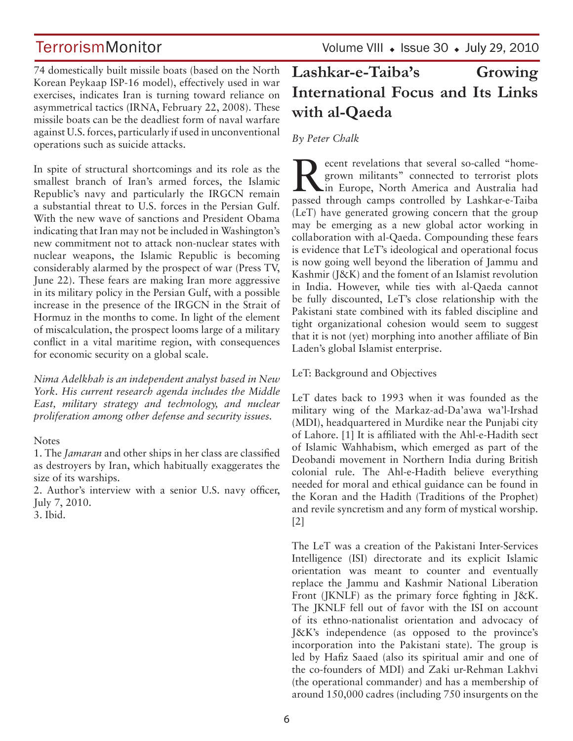TerrorismMonitor Volume VIII • Issue 30 • July 29, 2010

74 domestically built missile boats (based on the North Korean Peykaap ISP-16 model), effectively used in war exercises, indicates Iran is turning toward reliance on asymmetrical tactics (IRNA, February 22, 2008). These missile boats can be the deadliest form of naval warfare against U.S. forces, particularly if used in unconventional operations such as suicide attacks.

In spite of structural shortcomings and its role as the smallest branch of Iran's armed forces, the Islamic Republic's navy and particularly the IRGCN remain a substantial threat to U.S. forces in the Persian Gulf. With the new wave of sanctions and President Obama indicating that Iran may not be included in Washington's new commitment not to attack non-nuclear states with nuclear weapons, the Islamic Republic is becoming considerably alarmed by the prospect of war (Press TV, June 22). These fears are making Iran more aggressive in its military policy in the Persian Gulf, with a possible increase in the presence of the IRGCN in the Strait of Hormuz in the months to come. In light of the element of miscalculation, the prospect looms large of a military conflict in a vital maritime region, with consequences for economic security on a global scale.

*Nima Adelkhah is an independent analyst based in New York. His current research agenda includes the Middle East, military strategy and technology, and nuclear proliferation among other defense and security issues.*

#### **Notes**

1. The *Jamaran* and other ships in her class are classified as destroyers by Iran, which habitually exaggerates the size of its warships.

2. Author's interview with a senior U.S. navy officer, July 7, 2010.

3. Ibid.

# **Lashkar-e-Taiba's Growing International Focus and Its Links with al-Qaeda**

#### *By Peter Chalk*

Recent revelations that several so-called "home-<br>grown militants" connected to terrorist plots<br>in Europe, North America and Australia had<br>passed through semics sontralled by Lopking Chiba grown militants" connected to terrorist plots passed through camps controlled by Lashkar-e-Taiba (LeT) have generated growing concern that the group may be emerging as a new global actor working in collaboration with al-Qaeda. Compounding these fears is evidence that LeT's ideological and operational focus is now going well beyond the liberation of Jammu and Kashmir (J&K) and the foment of an Islamist revolution in India. However, while ties with al-Qaeda cannot be fully discounted, LeT's close relationship with the Pakistani state combined with its fabled discipline and tight organizational cohesion would seem to suggest that it is not (yet) morphing into another affiliate of Bin Laden's global Islamist enterprise.

#### LeT: Background and Objectives

LeT dates back to 1993 when it was founded as the military wing of the Markaz-ad-Da'awa wa'l-Irshad (MDI), headquartered in Murdike near the Punjabi city of Lahore. [1] It is affiliated with the Ahl-e-Hadith sect of Islamic Wahhabism, which emerged as part of the Deobandi movement in Northern India during British colonial rule. The Ahl-e-Hadith believe everything needed for moral and ethical guidance can be found in the Koran and the Hadith (Traditions of the Prophet) and revile syncretism and any form of mystical worship. [2]

The LeT was a creation of the Pakistani Inter-Services Intelligence (ISI) directorate and its explicit Islamic orientation was meant to counter and eventually replace the Jammu and Kashmir National Liberation Front (JKNLF) as the primary force fighting in J&K. The JKNLF fell out of favor with the ISI on account of its ethno-nationalist orientation and advocacy of J&K's independence (as opposed to the province's incorporation into the Pakistani state). The group is led by Hafiz Saaed (also its spiritual amir and one of the co-founders of MDI) and Zaki ur-Rehman Lakhvi (the operational commander) and has a membership of around 150,000 cadres (including 750 insurgents on the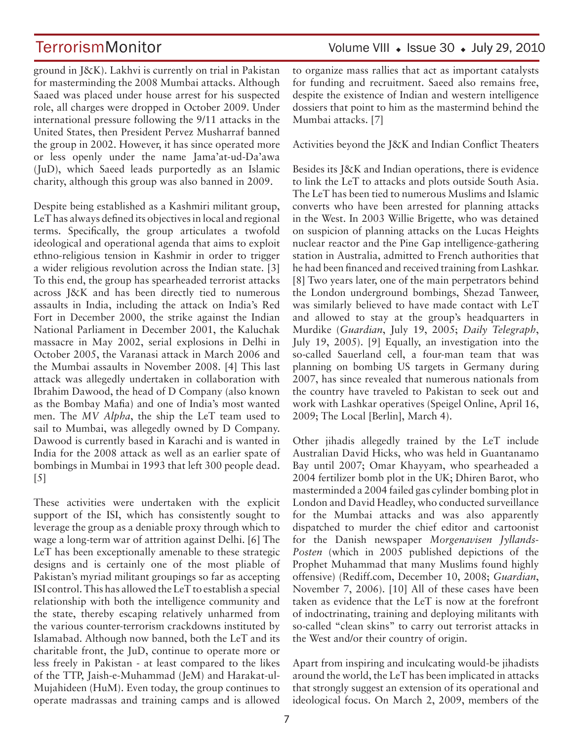ground in J&K). Lakhvi is currently on trial in Pakistan for masterminding the 2008 Mumbai attacks. Although Saaed was placed under house arrest for his suspected role, all charges were dropped in October 2009. Under international pressure following the 9/11 attacks in the United States, then President Pervez Musharraf banned the group in 2002. However, it has since operated more or less openly under the name Jama'at-ud-Da'awa (JuD), which Saeed leads purportedly as an Islamic charity, although this group was also banned in 2009.

Despite being established as a Kashmiri militant group, LeT has always defined its objectives in local and regional terms. Specifically, the group articulates a twofold ideological and operational agenda that aims to exploit ethno-religious tension in Kashmir in order to trigger a wider religious revolution across the Indian state. [3] To this end, the group has spearheaded terrorist attacks across J&K and has been directly tied to numerous assaults in India, including the attack on India's Red Fort in December 2000, the strike against the Indian National Parliament in December 2001, the Kaluchak massacre in May 2002, serial explosions in Delhi in October 2005, the Varanasi attack in March 2006 and the Mumbai assaults in November 2008. [4] This last attack was allegedly undertaken in collaboration with Ibrahim Dawood, the head of D Company (also known as the Bombay Mafia) and one of India's most wanted men. The *MV Alpha*, the ship the LeT team used to sail to Mumbai, was allegedly owned by D Company. Dawood is currently based in Karachi and is wanted in India for the 2008 attack as well as an earlier spate of bombings in Mumbai in 1993 that left 300 people dead. [5]

These activities were undertaken with the explicit support of the ISI, which has consistently sought to leverage the group as a deniable proxy through which to wage a long-term war of attrition against Delhi. [6] The LeT has been exceptionally amenable to these strategic designs and is certainly one of the most pliable of Pakistan's myriad militant groupings so far as accepting ISI control. This has allowed the LeT to establish a special relationship with both the intelligence community and the state, thereby escaping relatively unharmed from the various counter-terrorism crackdowns instituted by Islamabad. Although now banned, both the LeT and its charitable front, the JuD, continue to operate more or less freely in Pakistan - at least compared to the likes of the TTP, Jaish-e-Muhammad (JeM) and Harakat-ul-Mujahideen (HuM). Even today, the group continues to operate madrassas and training camps and is allowed

### Volume VIII  $\cdot$  Issue 30  $\cdot$  July 29, 2010

to organize mass rallies that act as important catalysts for funding and recruitment. Saeed also remains free, despite the existence of Indian and western intelligence dossiers that point to him as the mastermind behind the Mumbai attacks. [7]

Activities beyond the J&K and Indian Conflict Theaters

Besides its J&K and Indian operations, there is evidence to link the LeT to attacks and plots outside South Asia. The LeT has been tied to numerous Muslims and Islamic converts who have been arrested for planning attacks in the West. In 2003 Willie Brigette, who was detained on suspicion of planning attacks on the Lucas Heights nuclear reactor and the Pine Gap intelligence-gathering station in Australia, admitted to French authorities that he had been financed and received training from Lashkar. [8] Two years later, one of the main perpetrators behind the London underground bombings, Shezad Tanweer, was similarly believed to have made contact with LeT and allowed to stay at the group's headquarters in Murdike (*Guardian*, July 19, 2005; *Daily Telegraph*, July 19, 2005). [9] Equally, an investigation into the so-called Sauerland cell, a four-man team that was planning on bombing US targets in Germany during 2007, has since revealed that numerous nationals from the country have traveled to Pakistan to seek out and work with Lashkar operatives (Speigel Online, April 16, 2009; The Local [Berlin], March 4).

Other jihadis allegedly trained by the LeT include Australian David Hicks, who was held in Guantanamo Bay until 2007; Omar Khayyam, who spearheaded a 2004 fertilizer bomb plot in the UK; Dhiren Barot, who masterminded a 2004 failed gas cylinder bombing plot in London and David Headley, who conducted surveillance for the Mumbai attacks and was also apparently dispatched to murder the chief editor and cartoonist for the Danish newspaper *Morgenavisen Jyllands-Posten* (which in 2005 published depictions of the Prophet Muhammad that many Muslims found highly offensive) (Rediff.com, December 10, 2008; *Guardian*, November 7, 2006). [10] All of these cases have been taken as evidence that the LeT is now at the forefront of indoctrinating, training and deploying militants with so-called "clean skins" to carry out terrorist attacks in the West and/or their country of origin.

Apart from inspiring and inculcating would-be jihadists around the world, the LeT has been implicated in attacks that strongly suggest an extension of its operational and ideological focus. On March 2, 2009, members of the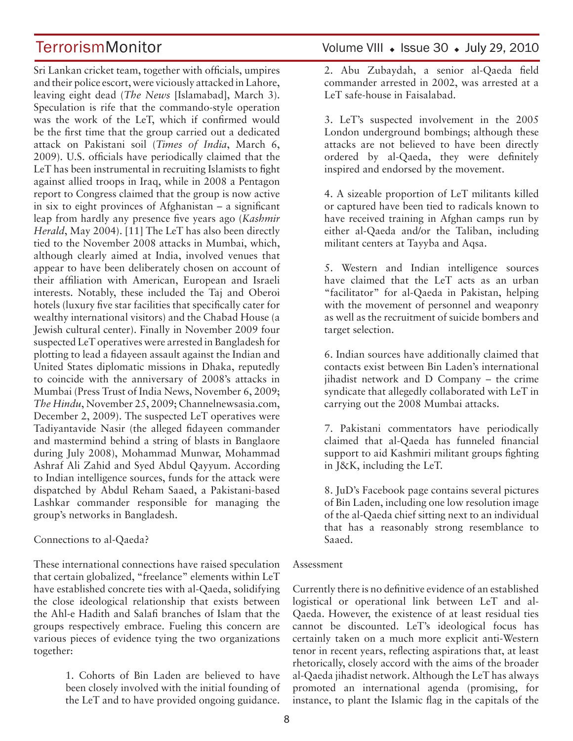Sri Lankan cricket team, together with officials, umpires and their police escort, were viciously attacked in Lahore, leaving eight dead (*The News* [Islamabad], March 3). Speculation is rife that the commando-style operation was the work of the LeT, which if confirmed would be the first time that the group carried out a dedicated attack on Pakistani soil (*Times of India*, March 6, 2009). U.S. officials have periodically claimed that the LeT has been instrumental in recruiting Islamists to fight against allied troops in Iraq, while in 2008 a Pentagon report to Congress claimed that the group is now active in six to eight provinces of Afghanistan – a significant leap from hardly any presence five years ago (*Kashmir Herald*, May 2004). [11] The LeT has also been directly tied to the November 2008 attacks in Mumbai, which, although clearly aimed at India, involved venues that appear to have been deliberately chosen on account of their affiliation with American, European and Israeli interests. Notably, these included the Taj and Oberoi hotels (luxury five star facilities that specifically cater for wealthy international visitors) and the Chabad House (a Jewish cultural center). Finally in November 2009 four suspected LeT operatives were arrested in Bangladesh for plotting to lead a fidayeen assault against the Indian and United States diplomatic missions in Dhaka, reputedly to coincide with the anniversary of 2008's attacks in Mumbai (Press Trust of India News, November 6, 2009; *The Hindu*, November 25, 2009; Channelnewsasia.com, December 2, 2009). The suspected LeT operatives were Tadiyantavide Nasir (the alleged fidayeen commander and mastermind behind a string of blasts in Banglaore during July 2008), Mohammad Munwar, Mohammad Ashraf Ali Zahid and Syed Abdul Qayyum. According to Indian intelligence sources, funds for the attack were dispatched by Abdul Reham Saaed, a Pakistani-based Lashkar commander responsible for managing the group's networks in Bangladesh.

#### Connections to al-Qaeda?

These international connections have raised speculation that certain globalized, "freelance" elements within LeT have established concrete ties with al-Qaeda, solidifying the close ideological relationship that exists between the Ahl-e Hadith and Salafi branches of Islam that the groups respectively embrace. Fueling this concern are various pieces of evidence tying the two organizations together:

> 1. Cohorts of Bin Laden are believed to have been closely involved with the initial founding of the LeT and to have provided ongoing guidance.

# TerrorismMonitor Volume VIII • Issue 30 • July 29, 2010

2. Abu Zubaydah, a senior al-Qaeda field commander arrested in 2002, was arrested at a LeT safe-house in Faisalabad.

3. LeT's suspected involvement in the 2005 London underground bombings; although these attacks are not believed to have been directly ordered by al-Qaeda, they were definitely inspired and endorsed by the movement.

4. A sizeable proportion of LeT militants killed or captured have been tied to radicals known to have received training in Afghan camps run by either al-Qaeda and/or the Taliban, including militant centers at Tayyba and Aqsa.

5. Western and Indian intelligence sources have claimed that the LeT acts as an urban "facilitator" for al-Qaeda in Pakistan, helping with the movement of personnel and weaponry as well as the recruitment of suicide bombers and target selection.

6. Indian sources have additionally claimed that contacts exist between Bin Laden's international jihadist network and D Company – the crime syndicate that allegedly collaborated with LeT in carrying out the 2008 Mumbai attacks.

7. Pakistani commentators have periodically claimed that al-Qaeda has funneled financial support to aid Kashmiri militant groups fighting in J&K, including the LeT.

8. JuD's Facebook page contains several pictures of Bin Laden, including one low resolution image of the al-Qaeda chief sitting next to an individual that has a reasonably strong resemblance to Saaed.

#### Assessment

Currently there is no definitive evidence of an established logistical or operational link between LeT and al-Qaeda. However, the existence of at least residual ties cannot be discounted. LeT's ideological focus has certainly taken on a much more explicit anti-Western tenor in recent years, reflecting aspirations that, at least rhetorically, closely accord with the aims of the broader al-Qaeda jihadist network. Although the LeT has always promoted an international agenda (promising, for instance, to plant the Islamic flag in the capitals of the